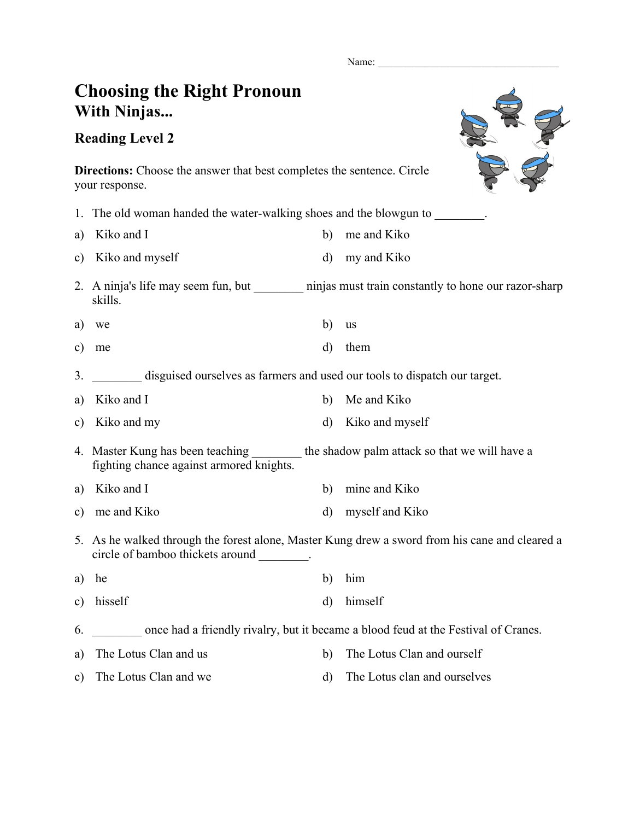Name:

## **Choosing the Right Pronoun With Ninjas...**

## **Reading Level 2**



**Directions:** Choose the answer that best completes the sentence. Circle your response.

|               | 1. The old woman handed the water-walking shoes and the blowgun to response to the blow sum to                                               |              |                 |  |
|---------------|----------------------------------------------------------------------------------------------------------------------------------------------|--------------|-----------------|--|
| a)            | Kiko and I                                                                                                                                   | b)           | me and Kiko     |  |
| c)            | Kiko and myself                                                                                                                              | $\rm d$      | my and Kiko     |  |
|               | 2. A ninja's life may seem fun, but _________ ninjas must train constantly to hone our razor-sharp<br>skills.                                |              |                 |  |
| a)            | we                                                                                                                                           | b)           | <b>us</b>       |  |
| $\mathbf{c})$ | me                                                                                                                                           | $\mathbf{d}$ | them            |  |
| 3.            | disguised ourselves as farmers and used our tools to dispatch our target.                                                                    |              |                 |  |
| a)            | Kiko and I                                                                                                                                   | b)           | Me and Kiko     |  |
| $\mathbf{c})$ | Kiko and my                                                                                                                                  | $\mathbf{d}$ | Kiko and myself |  |
|               | 4. Master Kung has been teaching _________ the shadow palm attack so that we will have a<br>fighting chance against armored knights.         |              |                 |  |
| a)            | Kiko and I                                                                                                                                   | b)           | mine and Kiko   |  |
| $\mathbf{c})$ | me and Kiko                                                                                                                                  | $\mathbf{d}$ | myself and Kiko |  |
|               | 5. As he walked through the forest alone, Master Kung drew a sword from his cane and cleared a<br>circle of bamboo thickets around ________. |              |                 |  |
| a)            | he                                                                                                                                           | b)           | him             |  |
| $\mathbf{c})$ | hisself                                                                                                                                      | $\rm d$      | himself         |  |
| 6.            | once had a friendly rivalry, but it became a blood feud at the Festival of Cranes.                                                           |              |                 |  |
|               |                                                                                                                                              |              |                 |  |

c) The Lotus Clan and we d) The Lotus clan and ourselves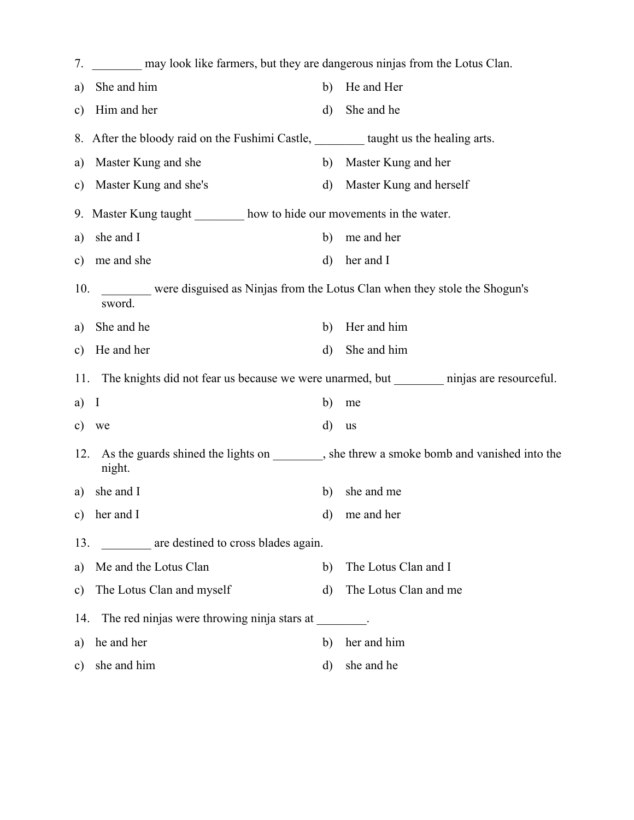| 7.                                                                                              | may look like farmers, but they are dangerous ninjas from the Lotus Clan.             |              |                                                                                           |  |  |
|-------------------------------------------------------------------------------------------------|---------------------------------------------------------------------------------------|--------------|-------------------------------------------------------------------------------------------|--|--|
| a)                                                                                              | She and him                                                                           | b)           | He and Her                                                                                |  |  |
| $\mathbf{c})$                                                                                   | Him and her                                                                           | $\rm d)$     | She and he                                                                                |  |  |
|                                                                                                 | 8. After the bloody raid on the Fushimi Castle, _________ taught us the healing arts. |              |                                                                                           |  |  |
| a)                                                                                              | Master Kung and she                                                                   | b)           | Master Kung and her                                                                       |  |  |
| $\mathbf{c})$                                                                                   | Master Kung and she's                                                                 | $\mathbf{d}$ | Master Kung and herself                                                                   |  |  |
|                                                                                                 | 9. Master Kung taught ________ how to hide our movements in the water.                |              |                                                                                           |  |  |
| a)                                                                                              | she and I                                                                             | b)           | me and her                                                                                |  |  |
| $\mathbf{c})$                                                                                   | me and she                                                                            | d)           | her and I                                                                                 |  |  |
| 10.                                                                                             | were disguised as Ninjas from the Lotus Clan when they stole the Shogun's<br>sword.   |              |                                                                                           |  |  |
| a)                                                                                              | She and he                                                                            | b)           | Her and him                                                                               |  |  |
| $\mathbf{c})$                                                                                   | He and her                                                                            | $\mathbf{d}$ | She and him                                                                               |  |  |
| 11. The knights did not fear us because we were unarmed, but __________ ninjas are resourceful. |                                                                                       |              |                                                                                           |  |  |
|                                                                                                 |                                                                                       |              |                                                                                           |  |  |
| a)                                                                                              | I                                                                                     | b)           | me                                                                                        |  |  |
| c)                                                                                              | we                                                                                    | d)           | us                                                                                        |  |  |
| 12.                                                                                             | night.                                                                                |              | As the guards shined the lights on ________, she threw a smoke bomb and vanished into the |  |  |
| a)                                                                                              | she and I                                                                             | b)           | she and me                                                                                |  |  |
| c)                                                                                              | her and I                                                                             | d)           | me and her                                                                                |  |  |
| 13.                                                                                             | are destined to cross blades again.                                                   |              |                                                                                           |  |  |
| a)                                                                                              | Me and the Lotus Clan                                                                 | b)           | The Lotus Clan and I                                                                      |  |  |
| $\mathbf{c})$                                                                                   | The Lotus Clan and myself                                                             | $\rm d$      | The Lotus Clan and me                                                                     |  |  |
| 14.                                                                                             | The red ninjas were throwing ninja stars at                                           |              |                                                                                           |  |  |
| a)                                                                                              | he and her                                                                            | b)           | her and him                                                                               |  |  |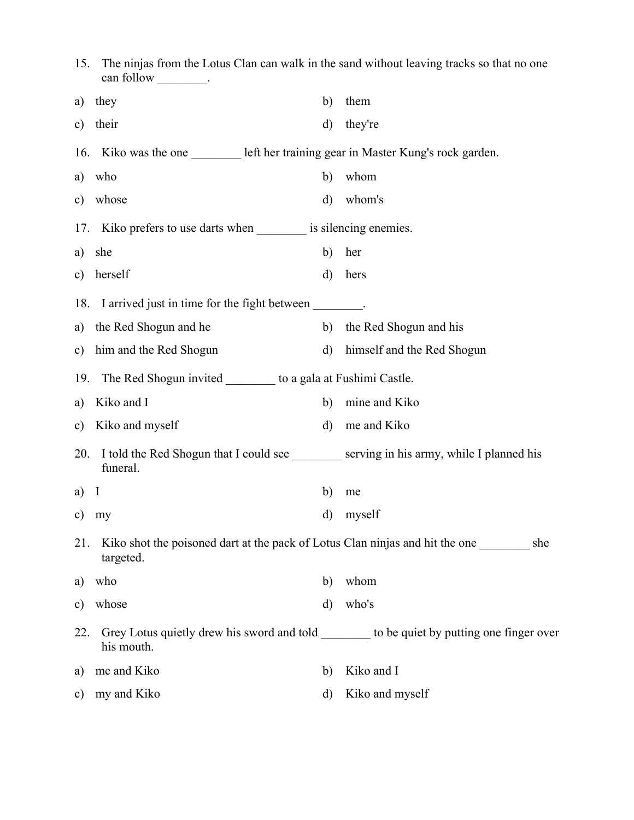| 15.           | The ninjas from the Lotus Clan can walk in the sand without leaving tracks so that no one<br>can follow _________. |              |                            |
|---------------|--------------------------------------------------------------------------------------------------------------------|--------------|----------------------------|
| a)            | they                                                                                                               | b)           | them                       |
| c)            | their                                                                                                              | $\mathbf{d}$ | they're                    |
|               | 16. Kiko was the one __________ left her training gear in Master Kung's rock garden.                               |              |                            |
| a)            | who                                                                                                                | b)           | whom                       |
| $\mathbf{c})$ | whose                                                                                                              | $\rm d)$     | whom's                     |
|               | 17. Kiko prefers to use darts when __________ is silencing enemies.                                                |              |                            |
| a)            | she                                                                                                                | b)           | her                        |
| $\mathbf{c})$ | herself                                                                                                            | $\mathbf{d}$ | hers                       |
|               | 18. I arrived just in time for the fight between ________.                                                         |              |                            |
| a)            | the Red Shogun and he                                                                                              | b)           | the Red Shogun and his     |
| $\mathbf{c})$ | him and the Red Shogun                                                                                             | $\rm d)$     | himself and the Red Shogun |
|               | 19. The Red Shogun invited ___________ to a gala at Fushimi Castle.                                                |              |                            |
| a)            | Kiko and I                                                                                                         | b)           | mine and Kiko              |
| $\mathbf{c})$ | Kiko and myself                                                                                                    | $\rm d)$     | me and Kiko                |
| 20.           | I told the Red Shogun that I could see ________ serving in his army, while I planned his<br>funeral.               |              |                            |
| a)            | $\mathbf{I}$                                                                                                       | b)           | me                         |
|               | c) $my$                                                                                                            |              | d) myself                  |
| 21.           | Kiko shot the poisoned dart at the pack of Lotus Clan ninjas and hit the one _______<br>targeted.                  |              | she                        |
| a)            | who                                                                                                                | b)           | whom                       |
| c)            | whose                                                                                                              | $\mathbf{d}$ | who's                      |
| 22.           | Grey Lotus quietly drew his sword and told ________ to be quiet by putting one finger over<br>his mouth.           |              |                            |
| a)            | me and Kiko                                                                                                        | b)           | Kiko and I                 |
| $\mathbf{c})$ | my and Kiko                                                                                                        | d)           | Kiko and myself            |